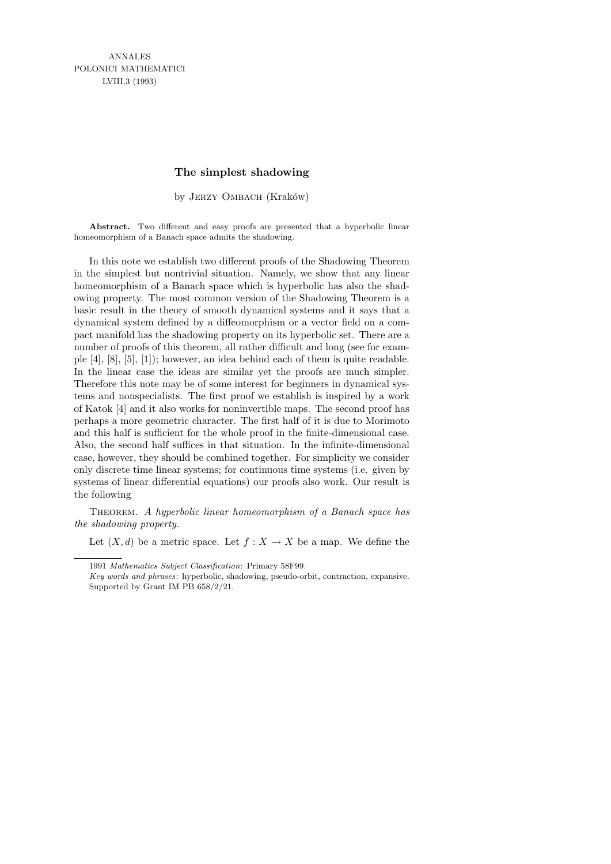# **The simplest shadowing**

by JERZY OMBACH (Kraków)

Abstract. Two different and easy proofs are presented that a hyperbolic linear homeomorphism of a Banach space admits the shadowing.

In this note we establish two different proofs of the Shadowing Theorem in the simplest but nontrivial situation. Namely, we show that any linear homeomorphism of a Banach space which is hyperbolic has also the shadowing property. The most common version of the Shadowing Theorem is a basic result in the theory of smooth dynamical systems and it says that a dynamical system defined by a diffeomorphism or a vector field on a compact manifold has the shadowing property on its hyperbolic set. There are a number of proofs of this theorem, all rather difficult and long (see for example [4], [8], [5], [1]); however, an idea behind each of them is quite readable. In the linear case the ideas are similar yet the proofs are much simpler. Therefore this note may be of some interest for beginners in dynamical systems and nonspecialists. The first proof we establish is inspired by a work of Katok [4] and it also works for noninvertible maps. The second proof has perhaps a more geometric character. The first half of it is due to Morimoto and this half is sufficient for the whole proof in the finite-dimensional case. Also, the second half suffices in that situation. In the infinite-dimensional case, however, they should be combined together. For simplicity we consider only discrete time linear systems; for continuous time systems (i.e. given by systems of linear differential equations) our proofs also work. Our result is the following

THEOREM. A hyperbolic linear homeomorphism of a Banach space has the shadowing property.

Let  $(X, d)$  be a metric space. Let  $f : X \to X$  be a map. We define the

<sup>1991</sup> *Mathematics Subject Classification*: Primary 58F99.

*Key words and phrases*: hyperbolic, shadowing, pseudo-orbit, contraction, expansive. Supported by Grant IM PB 658/2/21.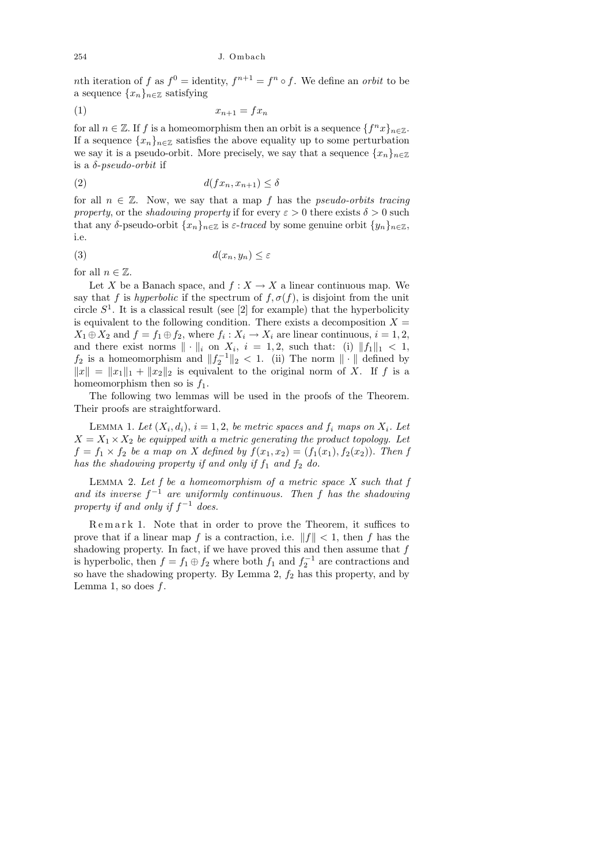nth iteration of f as  $f^0 =$  identity,  $f^{n+1} = f^n \circ f$ . We define an *orbit* to be a sequence  $\{x_n\}_{n\in\mathbb{Z}}$  satisfying

$$
(1) \t\t x_{n+1} = fx_n
$$

for all  $n \in \mathbb{Z}$ . If f is a homeomorphism then an orbit is a sequence  $\{f^n x\}_{n \in \mathbb{Z}}$ . If a sequence  $\{x_n\}_{n\in\mathbb{Z}}$  satisfies the above equality up to some perturbation we say it is a pseudo-orbit. More precisely, we say that a sequence  $\{x_n\}_{n\in\mathbb{Z}}$ is a  $\delta$ -pseudo-orbit if

$$
d(fx_n, x_{n+1}) \le \delta
$$

for all  $n \in \mathbb{Z}$ . Now, we say that a map f has the *pseudo-orbits tracing* property, or the shadowing property if for every  $\varepsilon > 0$  there exists  $\delta > 0$  such that any δ-pseudo-orbit  $\{x_n\}_{n\in\mathbb{Z}}$  is  $\varepsilon$ -traced by some genuine orbit  $\{y_n\}_{n\in\mathbb{Z}}$ , i.e.

$$
(3) \t d(x_n, y_n) \leq \varepsilon
$$

for all  $n \in \mathbb{Z}$ .

Let X be a Banach space, and  $f: X \to X$  a linear continuous map. We say that f is hyperbolic if the spectrum of  $f, \sigma(f)$ , is disjoint from the unit circle  $S^1$ . It is a classical result (see [2] for example) that the hyperbolicity is equivalent to the following condition. There exists a decomposition  $X =$  $X_1 \oplus X_2$  and  $f = f_1 \oplus f_2$ , where  $f_i : X_i \to X_i$  are linear continuous,  $i = 1, 2$ , and there exist norms  $\|\cdot\|_i$  on  $X_i$ ,  $i = 1, 2$ , such that: (i)  $\|f_1\|_1 < 1$ ,  $f_2$  is a homeomorphism and  $||f_2^{-1}||_2 < 1$ . (ii) The norm  $|| \cdot ||$  defined by  $||x|| = ||x_1||_1 + ||x_2||_2$  is equivalent to the original norm of X. If f is a homeomorphism then so is  $f_1$ .

The following two lemmas will be used in the proofs of the Theorem. Their proofs are straightforward.

LEMMA 1. Let  $(X_i, d_i)$ ,  $i = 1, 2$ , be metric spaces and  $f_i$  maps on  $X_i$ . Let  $X = X_1 \times X_2$  be equipped with a metric generating the product topology. Let  $f = f_1 \times f_2$  be a map on X defined by  $f(x_1, x_2) = (f_1(x_1), f_2(x_2))$ . Then f has the shadowing property if and only if  $f_1$  and  $f_2$  do.

LEMMA 2. Let  $f$  be a homeomorphism of a metric space  $X$  such that  $f$ and its inverse  $f^{-1}$  are uniformly continuous. Then f has the shadowing property if and only if  $f^{-1}$  does.

Remark 1. Note that in order to prove the Theorem, it suffices to prove that if a linear map f is a contraction, i.e.  $||f|| < 1$ , then f has the shadowing property. In fact, if we have proved this and then assume that  $f$ is hyperbolic, then  $f = f_1 \oplus f_2$  where both  $f_1$  and  $f_2^{-1}$  are contractions and so have the shadowing property. By Lemma 2,  $f_2$  has this property, and by Lemma 1, so does  $f$ .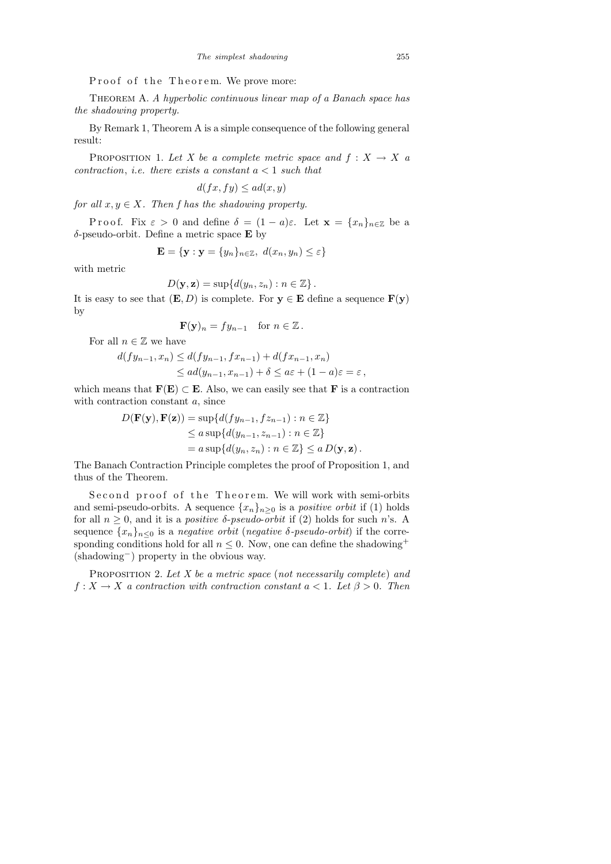Proof of the Theorem. We prove more:

THEOREM A. A hyperbolic continuous linear map of a Banach space has the shadowing property.

By Remark 1, Theorem A is a simple consequence of the following general result:

PROPOSITION 1. Let X be a complete metric space and  $f: X \to X$  a contraction, i.e. there exists a constant  $a < 1$  such that

$$
d(fx, fy) \le ad(x, y)
$$

for all  $x, y \in X$ . Then f has the shadowing property.

P r o o f. Fix  $\varepsilon > 0$  and define  $\delta = (1 - a)\varepsilon$ . Let  $\mathbf{x} = \{x_n\}_{n \in \mathbb{Z}}$  be a  $\delta$ -pseudo-orbit. Define a metric space **E** by

$$
\mathbf{E} = \{ \mathbf{y} : \mathbf{y} = \{y_n\}_{n \in \mathbb{Z}}, \ d(x_n, y_n) \le \varepsilon \}
$$

with metric

$$
D(\mathbf{y}, \mathbf{z}) = \sup \{ d(y_n, z_n) : n \in \mathbb{Z} \}.
$$

It is easy to see that  $(E, D)$  is complete. For  $y \in E$  define a sequence  $F(y)$ by

$$
\mathbf{F}(\mathbf{y})_n = fy_{n-1} \quad \text{for } n \in \mathbb{Z} \, .
$$

For all  $n \in \mathbb{Z}$  we have

$$
d(fy_{n-1}, x_n) \le d(fy_{n-1}, fx_{n-1}) + d(fx_{n-1}, x_n)
$$
  
\n
$$
\le ad(y_{n-1}, x_{n-1}) + \delta \le a\varepsilon + (1 - a)\varepsilon = \varepsilon,
$$

which means that  $\mathbf{F}(\mathbf{E}) \subset \mathbf{E}$ . Also, we can easily see that  $\mathbf{F}$  is a contraction with contraction constant  $a$ , since

$$
D(\mathbf{F}(\mathbf{y}), \mathbf{F}(\mathbf{z})) = \sup \{ d(fy_{n-1}, fz_{n-1}) : n \in \mathbb{Z} \}
$$
  
\n
$$
\le a \sup \{ d(y_{n-1}, z_{n-1}) : n \in \mathbb{Z} \}
$$
  
\n
$$
= a \sup \{ d(y_n, z_n) : n \in \mathbb{Z} \} \le a D(\mathbf{y}, \mathbf{z}).
$$

The Banach Contraction Principle completes the proof of Proposition 1, and thus of the Theorem.

Second proof of the Theorem. We will work with semi-orbits and semi-pseudo-orbits. A sequence  $\{x_n\}_{n\geq 0}$  is a *positive orbit* if (1) holds for all  $n \geq 0$ , and it is a *positive*  $\delta$ *-pseudo-orbit* if (2) holds for such *n*'s. A sequence  $\{x_n\}_{n\leq 0}$  is a *negative orbit* (*negative*  $\delta$ *-pseudo-orbit*) if the corresponding conditions hold for all  $n \leq 0$ . Now, one can define the shadowing<sup>+</sup> (shadowing−) property in the obvious way.

PROPOSITION 2. Let  $X$  be a metric space (not necessarily complete) and  $f: X \to X$  a contraction with contraction constant  $a < 1$ . Let  $\beta > 0$ . Then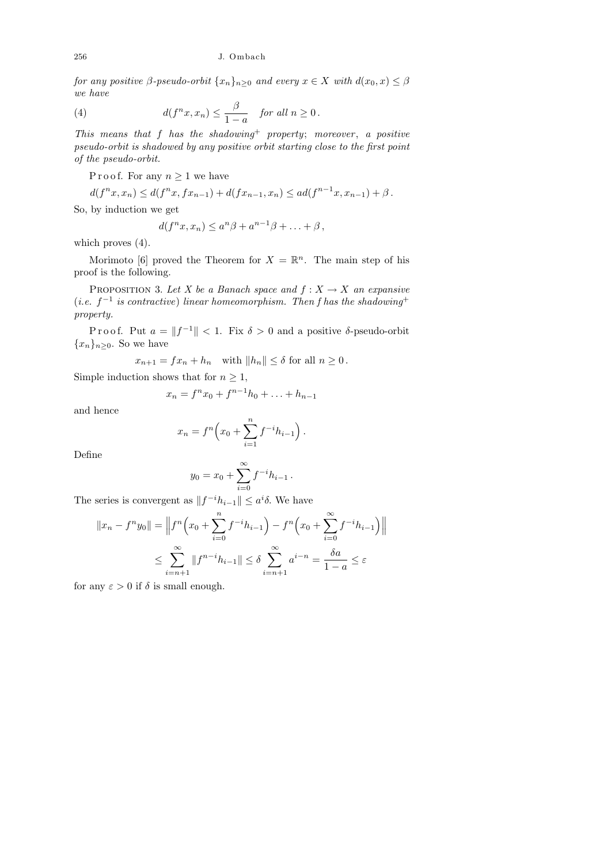## 256 J. Ombach

for any positive  $\beta$ -pseudo-orbit  $\{x_n\}_{n\geq 0}$  and every  $x \in X$  with  $d(x_0, x) \leq \beta$ we have

(4) 
$$
d(f^n x, x_n) \leq \frac{\beta}{1-a} \quad \text{for all } n \geq 0.
$$

This means that f has the shadowing<sup>+</sup> property; moreover, a positive pseudo-orbit is shadowed by any positive orbit starting close to the first point of the pseudo-orbit.

P r o o f. For any  $n \geq 1$  we have

$$
d(f^{n}x, x_{n}) \leq d(f^{n}x, fx_{n-1}) + d(fx_{n-1}, x_{n}) \leq ad(f^{n-1}x, x_{n-1}) + \beta.
$$

So, by induction we get

$$
d(f^{n}x, x_{n}) \leq a^{n}\beta + a^{n-1}\beta + \ldots + \beta,
$$

which proves  $(4)$ .

Morimoto [6] proved the Theorem for  $X = \mathbb{R}^n$ . The main step of his proof is the following.

PROPOSITION 3. Let X be a Banach space and  $f: X \to X$  an expansive (*i.e.*  $f^{-1}$  is contractive) linear homeomorphism. Then f has the shadowing<sup>+</sup> property.

Proof. Put  $a = ||f^{-1}|| < 1$ . Fix  $\delta > 0$  and a positive  $\delta$ -pseudo-orbit  ${x_n}_{n\geq 0}$ . So we have

$$
x_{n+1} = fx_n + h_n \quad \text{with } \|h_n\| \le \delta \text{ for all } n \ge 0.
$$

Simple induction shows that for  $n \geq 1$ ,

$$
x_n = f^n x_0 + f^{n-1} h_0 + \ldots + h_{n-1}
$$

and hence

$$
x_n = f^n \left( x_0 + \sum_{i=1}^n f^{-i} h_{i-1} \right).
$$

Define

$$
y_0 = x_0 + \sum_{i=0}^{\infty} f^{-i} h_{i-1}.
$$

The series is convergent as  $||f^{-i}h_{i-1}|| \leq a^i \delta$ . We have

$$
||x_n - f^n y_0|| = ||f^n(x_0 + \sum_{i=0}^n f^{-i} h_{i-1}) - f^n(x_0 + \sum_{i=0}^\infty f^{-i} h_{i-1})||
$$
  

$$
\leq \sum_{i=n+1}^\infty ||f^{n-i} h_{i-1}|| \leq \delta \sum_{i=n+1}^\infty a^{i-n} = \frac{\delta a}{1-a} \leq \varepsilon
$$

for any  $\varepsilon > 0$  if  $\delta$  is small enough.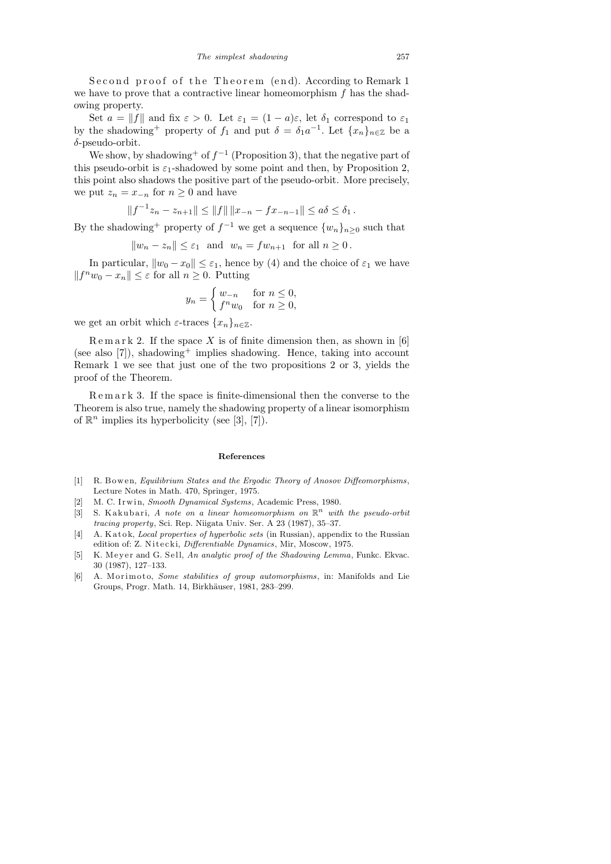Second proof of the Theorem (end). According to Remark 1 we have to prove that a contractive linear homeomorphism  $f$  has the shadowing property.

Set  $a = ||f||$  and fix  $\varepsilon > 0$ . Let  $\varepsilon_1 = (1 - a)\varepsilon$ , let  $\delta_1$  correspond to  $\varepsilon_1$ by the shadowing<sup>+</sup> property of  $f_1$  and put  $\delta = \delta_1 a^{-1}$ . Let  $\{x_n\}_{n \in \mathbb{Z}}$  be a δ-pseudo-orbit.

We show, by shadowing<sup>+</sup> of  $f^{-1}$  (Proposition 3), that the negative part of this pseudo-orbit is  $\varepsilon_1$ -shadowed by some point and then, by Proposition 2, this point also shadows the positive part of the pseudo-orbit. More precisely, we put  $z_n = x_{-n}$  for  $n \geq 0$  and have

$$
||f^{-1}z_n - z_{n+1}|| \le ||f|| \, ||x_{-n} - fx_{-n-1}|| \le a\delta \le \delta_1.
$$

By the shadowing<sup>+</sup> property of  $f^{-1}$  we get a sequence  $\{w_n\}_{n\geq 0}$  such that

$$
||w_n - z_n|| \leq \varepsilon_1
$$
 and  $w_n = fw_{n+1}$  for all  $n \geq 0$ .

In particular,  $||w_0 - x_0|| \leq \varepsilon_1$ , hence by (4) and the choice of  $\varepsilon_1$  we have  $||f^n w_0 - x_n|| \leq \varepsilon$  for all  $n \geq 0$ . Putting

$$
y_n = \begin{cases} w_{-n} & \text{for } n \le 0, \\ f^n w_0 & \text{for } n \ge 0, \end{cases}
$$

we get an orbit which  $\varepsilon$ -traces  $\{x_n\}_{n\in\mathbb{Z}}$ .

 $R$ e m a r k 2. If the space X is of finite dimension then, as shown in [6] (see also [7]), shadowing<sup>+</sup> implies shadowing. Hence, taking into account Remark 1 we see that just one of the two propositions 2 or 3, yields the proof of the Theorem.

R e m a r k 3. If the space is finite-dimensional then the converse to the Theorem is also true, namely the shadowing property of a linear isomorphism of  $\mathbb{R}^n$  implies its hyperbolicity (see [3], [7]).

### **References**

- [1] R. B owen, *Equilibrium States and the Ergodic Theory of Anosov Diffeomorphisms*, Lecture Notes in Math. 470, Springer, 1975.
- [2] M. C. Irwin, *Smooth Dynamical Systems*, Academic Press, 1980.
- $[3]$  S. Kakubari, *A note on a linear homeomorphism on*  $\mathbb{R}^n$  *with the pseudo-orbit tracing property*, Sci. Rep. Niigata Univ. Ser. A 23 (1987), 35–37.
- [4] A. Katok, *Local properties of hyperbolic sets* (in Russian), appendix to the Russian edition of: Z. Nitecki, *Differentiable Dynamics*, Mir, Moscow, 1975.
- [5] K. M e y e r and G. S ell, *An analytic proof of the Shadowing Lemma*, Funkc. Ekvac. 30 (1987), 127–133.
- [6] A. M orimoto, *Some stabilities of group automorphisms*, in: Manifolds and Lie Groups, Progr. Math. 14, Birkhäuser, 1981, 283-299.